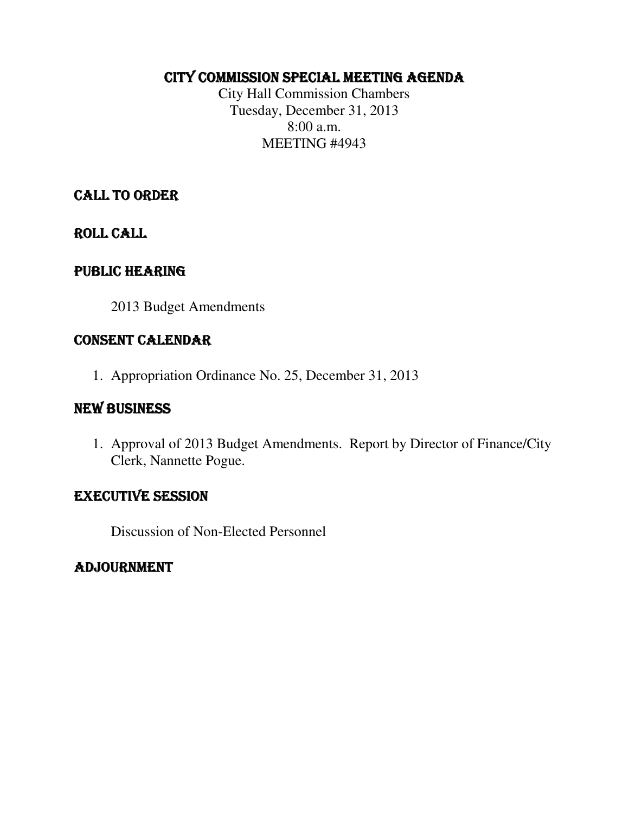## CITY COMMISSION SPECIAL MEETING AGENDA

City Hall Commission Chambers Tuesday, December 31, 2013 8:00 a.m. MEETING #4943

## CALL TO ORDER

ROLL CALL

## PUBLIC HEARING

2013 Budget Amendments

## CONSENT CALENDAR

1. Appropriation Ordinance No. 25, December 31, 2013

# NEW BUSINESS

1. Approval of 2013 Budget Amendments. Report by Director of Finance/City Clerk, Nannette Pogue.

# EXECUTIVE SESSION

Discussion of Non-Elected Personnel

## ADJOURNMENT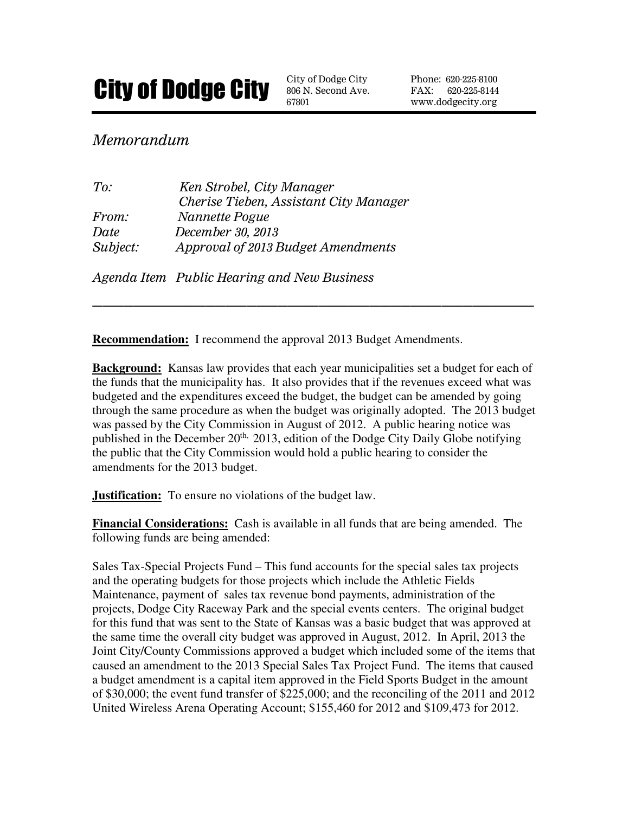

806 N. Second Ave. 67801

Phone: 620-225-8100 FAX: 620-225-8144 www.dodgecity.org

## Memorandum

| $T_{0}$ : | Ken Strobel, City Manager              |
|-----------|----------------------------------------|
|           | Cherise Tieben, Assistant City Manager |
| From:     | Nannette Pogue                         |
| Date      | December 30, 2013                      |
| Subject:  | Approval of 2013 Budget Amendments     |
|           |                                        |

Agenda Item Public Hearing and New Business

**Recommendation:** I recommend the approval 2013 Budget Amendments.

**Background:** Kansas law provides that each year municipalities set a budget for each of the funds that the municipality has. It also provides that if the revenues exceed what was budgeted and the expenditures exceed the budget, the budget can be amended by going through the same procedure as when the budget was originally adopted. The 2013 budget was passed by the City Commission in August of 2012. A public hearing notice was published in the December  $20<sup>th</sup>$ ,  $2013$ , edition of the Dodge City Daily Globe notifying the public that the City Commission would hold a public hearing to consider the amendments for the 2013 budget.

**\_\_\_\_\_\_\_\_\_\_\_\_\_\_\_\_\_\_\_\_\_\_\_\_\_\_\_\_\_\_\_\_\_\_\_\_\_\_\_\_\_\_\_** 

**Justification:** To ensure no violations of the budget law.

**Financial Considerations:** Cash is available in all funds that are being amended. The following funds are being amended:

Sales Tax-Special Projects Fund – This fund accounts for the special sales tax projects and the operating budgets for those projects which include the Athletic Fields Maintenance, payment of sales tax revenue bond payments, administration of the projects, Dodge City Raceway Park and the special events centers. The original budget for this fund that was sent to the State of Kansas was a basic budget that was approved at the same time the overall city budget was approved in August, 2012. In April, 2013 the Joint City/County Commissions approved a budget which included some of the items that caused an amendment to the 2013 Special Sales Tax Project Fund. The items that caused a budget amendment is a capital item approved in the Field Sports Budget in the amount of \$30,000; the event fund transfer of \$225,000; and the reconciling of the 2011 and 2012 United Wireless Arena Operating Account; \$155,460 for 2012 and \$109,473 for 2012.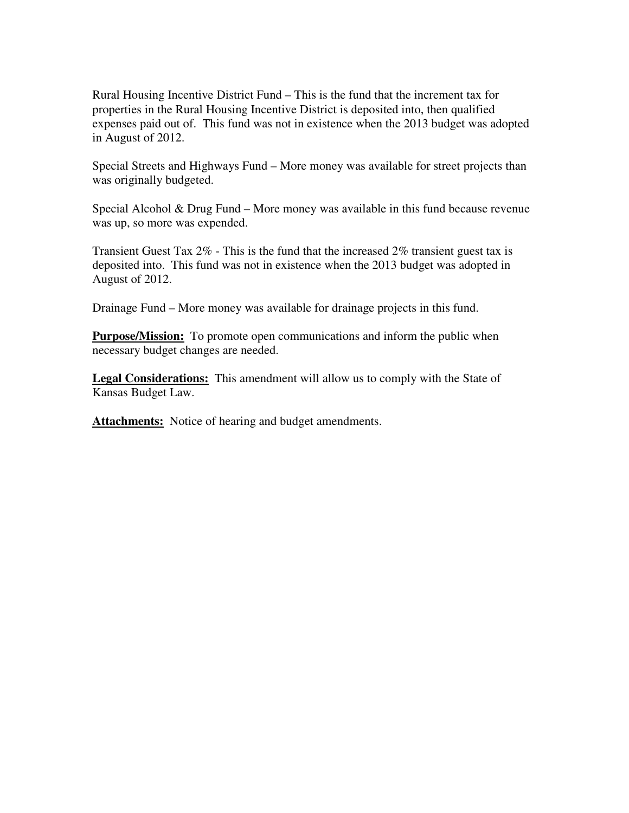Rural Housing Incentive District Fund – This is the fund that the increment tax for properties in the Rural Housing Incentive District is deposited into, then qualified expenses paid out of. This fund was not in existence when the 2013 budget was adopted in August of 2012.

Special Streets and Highways Fund – More money was available for street projects than was originally budgeted.

Special Alcohol & Drug Fund – More money was available in this fund because revenue was up, so more was expended.

Transient Guest Tax 2% - This is the fund that the increased 2% transient guest tax is deposited into. This fund was not in existence when the 2013 budget was adopted in August of 2012.

Drainage Fund – More money was available for drainage projects in this fund.

**Purpose/Mission:** To promote open communications and inform the public when necessary budget changes are needed.

**Legal Considerations:** This amendment will allow us to comply with the State of Kansas Budget Law.

**Attachments:** Notice of hearing and budget amendments.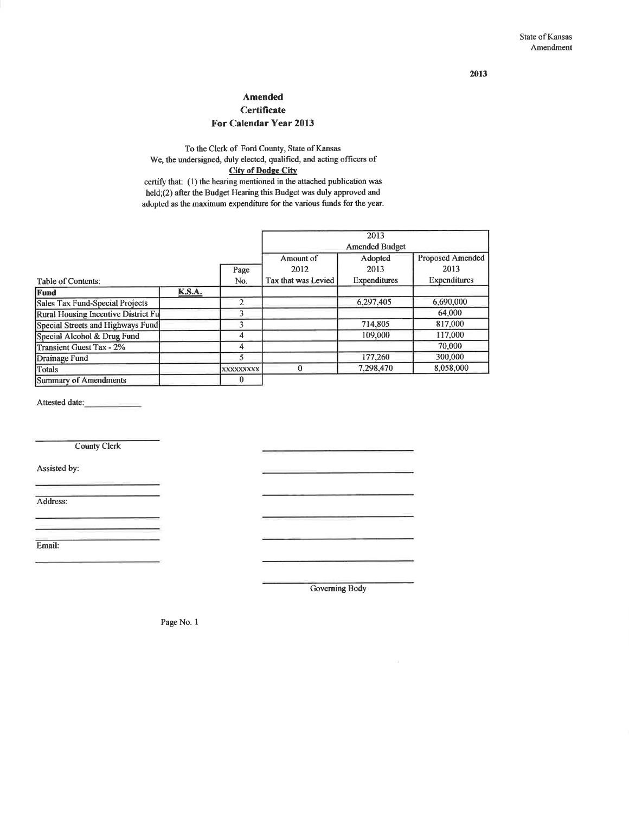2013

#### **Amended** Certificate For Calendar Year 2013

To the Clerk of Ford County, State of Kansas We, the undersigned, duly elected, qualified, and acting officers of **City of Dodge City** 

certify that: (1) the hearing mentioned in the attached publication was held;(2) after the Budget Hearing this Budget was duly approved and adopted as the maximum expenditure for the various funds for the year.

|                                     |               |                  |                       | 2013                |                  |
|-------------------------------------|---------------|------------------|-----------------------|---------------------|------------------|
|                                     |               |                  | <b>Amended Budget</b> |                     |                  |
|                                     |               |                  | Amount of             | Adopted             | Proposed Amended |
|                                     |               | Page             | 2012                  | 2013                | 2013             |
| Table of Contents:                  |               | No.              | Tax that was Levied   | <b>Expenditures</b> | Expenditures     |
| Fund                                | <b>K.S.A.</b> |                  |                       |                     |                  |
| Sales Tax Fund-Special Projects     |               | 2                |                       | 6,297,405           | 6,690,000        |
| Rural Housing Incentive District Fu |               |                  |                       |                     | 64.000           |
| Special Streets and Highways Fund   |               | 3                |                       | 714,805             | 817,000          |
| Special Alcohol & Drug Fund         |               | 4                |                       | 109,000             | 117,000          |
| Transient Guest Tax - 2%            |               | 4                |                       |                     | 70,000           |
| Drainage Fund                       |               | 5                |                       | 177,260             | 300,000          |
| Totals                              |               | <b>XXXXXXXXX</b> | 0                     | 7.298,470           | 8,058,000        |
| Summary of Amendments               |               |                  |                       |                     |                  |

Attested date:

County Clerk

Assisted by:

Address:

Email:

Governing Body

Page No. 1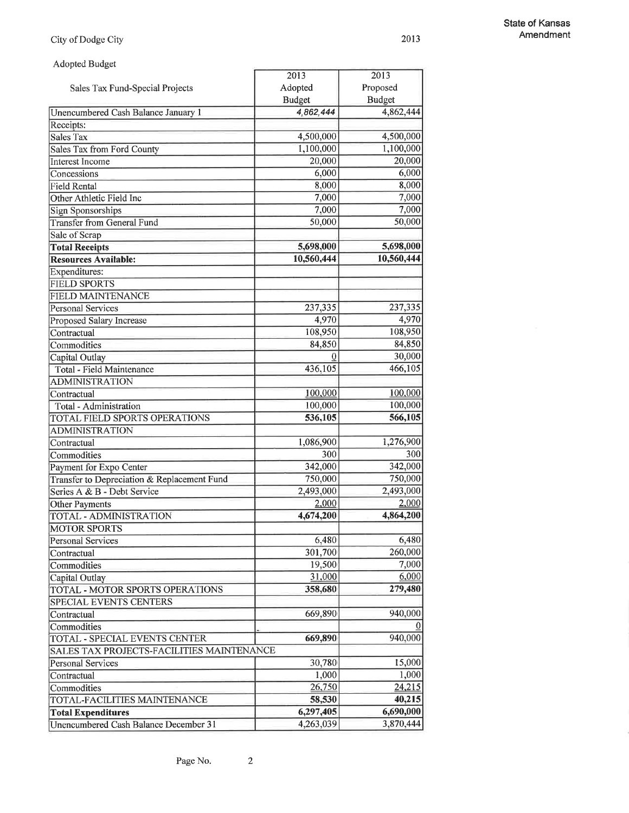State of Kansas Amendment

| <b>Adopted Budget</b> |  |
|-----------------------|--|
|-----------------------|--|

|                                                                        | 2013              | 2013          |
|------------------------------------------------------------------------|-------------------|---------------|
| Sales Tax Fund-Special Projects                                        | Adopted           | Proposed      |
|                                                                        | <b>Budget</b>     | <b>Budget</b> |
| Unencumbered Cash Balance January 1                                    | 4,862,444         | 4,862,444     |
| Receipts:                                                              |                   |               |
| <b>Sales Tax</b>                                                       | 4,500,000         | 4,500,000     |
| Sales Tax from Ford County                                             | 1,100,000         | 1,100,000     |
| <b>Interest Income</b>                                                 | 20,000            | 20,000        |
| Concessions                                                            | 6,000             | 6,000         |
| <b>Field Rental</b>                                                    | 8,000             | 8,000         |
| Other Athletic Field Inc                                               | 7,000             | 7,000         |
| <b>Sign Sponsorships</b>                                               | 7,000             | 7,000         |
| <b>Transfer from General Fund</b>                                      | 50,000            | 50,000        |
| Sale of Scrap                                                          |                   |               |
| <b>Total Receipts</b>                                                  | 5,698,000         | 5,698,000     |
| <b>Resources Available:</b>                                            | 10,560,444        | 10,560,444    |
| Expenditures:                                                          |                   |               |
| <b>FIELD SPORTS</b>                                                    |                   |               |
| <b>FIELD MAINTENANCE</b>                                               |                   |               |
| <b>Personal Services</b>                                               | 237,335           | 237,335       |
| Proposed Salary Increase                                               | 4,970             | 4,970         |
| Contractual                                                            | 108,950           | 108,950       |
| Commodities                                                            | 84,850            | 84,850        |
| Capital Outlay                                                         | 0                 | 30,000        |
| <b>Total - Field Maintenance</b>                                       | 436,105           | 466,105       |
| <b>ADMINISTRATION</b>                                                  |                   |               |
| Contractual                                                            | 100,000           | 100,000       |
| <b>Total - Administration</b>                                          | 100,000           | 100,000       |
| TOTAL FIELD SPORTS OPERATIONS                                          | 536,105           | 566,105       |
| <b>ADMINISTRATION</b>                                                  |                   |               |
| Contractual                                                            | 1,086,900         | 1,276,900     |
| Commodities                                                            | 300               | 300           |
|                                                                        | 342,000           | 342,000       |
| Payment for Expo Center<br>Transfer to Depreciation & Replacement Fund | 750,000           | 750,000       |
| Series A & B - Debt Service                                            | 2,493,000         | 2,493,000     |
|                                                                        | 2,000             | 2,000         |
| <b>Other Payments</b>                                                  | 4,674,200         | 4,864,200     |
| TOTAL - ADMINISTRATION                                                 |                   |               |
| <b>MOTOR SPORTS</b>                                                    | 6,480             | 6,480         |
| <b>Personal Services</b>                                               | 301,700           | 260,000       |
| Contractual                                                            | 19,500            | 7,000         |
| Commodities                                                            |                   | 6,000         |
| Capital Outlay                                                         | 31,000<br>358,680 | 279,480       |
| TOTAL - MOTOR SPORTS OPERATIONS                                        |                   |               |
| <b>SPECIAL EVENTS CENTERS</b>                                          |                   | 940,000       |
| Contractual                                                            | 669,890           |               |
| Commodities                                                            |                   |               |
| <b>TOTAL - SPECIAL EVENTS CENTER</b>                                   | 669,890           | 940,000       |
| SALES TAX PROJECTS-FACILITIES MAINTENANCE                              |                   |               |
| <b>Personal Services</b>                                               | 30,780            | 15,000        |
| Contractual                                                            | 1,000             | 1,000         |
| Commodities                                                            | 26,750            | 24,215        |
| TOTAL-FACILITIES MAINTENANCE                                           | 58,530            | 40,215        |
| <b>Total Expenditures</b>                                              | 6,297,405         | 6,690,000     |
| Unencumbered Cash Balance December 31                                  | 4,263,039         | 3,870,444     |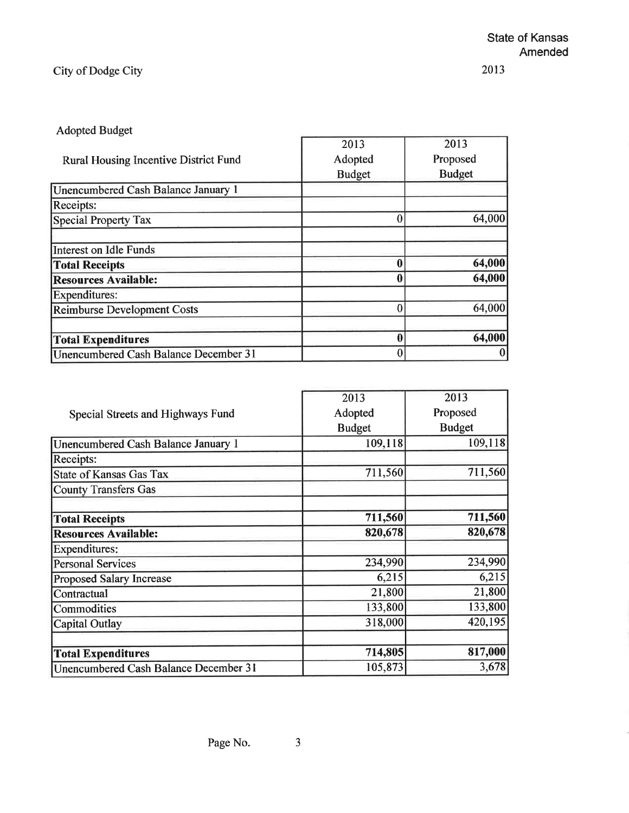# Adopted Budget

|                                       | 2013          | 2013          |
|---------------------------------------|---------------|---------------|
| Rural Housing Incentive District Fund | Adopted       | Proposed      |
|                                       | <b>Budget</b> | <b>Budget</b> |
| Unencumbered Cash Balance January 1   |               |               |
| Receipts:                             |               |               |
| <b>Special Property Tax</b>           |               | 64,000        |
| Interest on Idle Funds                |               |               |
| <b>Total Receipts</b>                 |               | 64,000        |
| <b>Resources Available:</b>           |               | 64,000        |
| Expenditures:                         |               |               |
| <b>Reimburse Development Costs</b>    |               | 64,000        |
| <b>Total Expenditures</b>             |               | 64,000        |
| Unencumbered Cash Balance December 31 |               | 0             |

|                                       | 2013          | 2013          |
|---------------------------------------|---------------|---------------|
| Special Streets and Highways Fund     | Adopted       | Proposed      |
|                                       | <b>Budget</b> | <b>Budget</b> |
| Unencumbered Cash Balance January 1   | 109,118       | 109,118       |
| Receipts:                             |               |               |
| <b>State of Kansas Gas Tax</b>        | 711,560       | 711,560       |
| <b>County Transfers Gas</b>           |               |               |
|                                       |               |               |
| <b>Total Receipts</b>                 | 711,560       | 711,560       |
| <b>Resources Available:</b>           | 820,678       | 820,678       |
| Expenditures:                         |               |               |
| <b>Personal Services</b>              | 234,990       | 234,990       |
| <b>Proposed Salary Increase</b>       | 6,215         | 6,215         |
| Contractual                           | 21,800        | 21,800        |
| Commodities                           | 133,800       | 133,800       |
| Capital Outlay                        | 318,000       | 420,195       |
|                                       |               |               |
| <b>Total Expenditures</b>             | 714,805       | 817,000       |
| Unencumbered Cash Balance December 31 | 105,873       | 3,678         |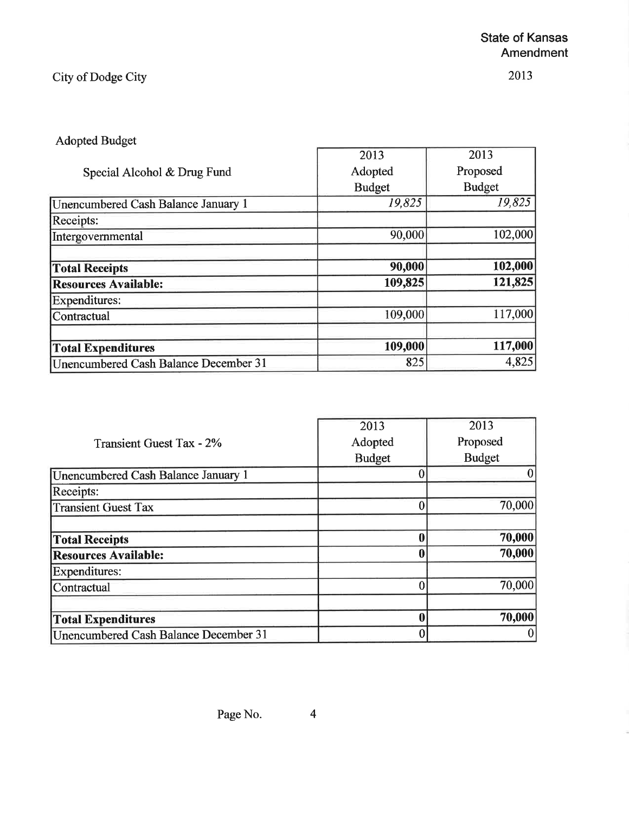# City of Dodge City

٦

# Adopted Budget

|                                       | 2013          | 2013          |
|---------------------------------------|---------------|---------------|
| Special Alcohol & Drug Fund           | Adopted       | Proposed      |
|                                       | <b>Budget</b> | <b>Budget</b> |
| Unencumbered Cash Balance January 1   | 19,825        | 19,825        |
| Receipts:                             |               |               |
| Intergovernmental                     | 90,000        | 102,000       |
|                                       |               |               |
| <b>Total Receipts</b>                 | 90,000        | 102,000       |
| <b>Resources Available:</b>           | 109,825       | 121,825       |
| Expenditures:                         |               |               |
| Contractual                           | 109,000       | 117,000       |
|                                       |               |               |
| <b>Total Expenditures</b>             | 109,000       | 117,000       |
| Unencumbered Cash Balance December 31 | 825           | 4,825         |

| 2013          | 2013          |
|---------------|---------------|
| Adopted       | Proposed      |
| <b>Budget</b> | <b>Budget</b> |
|               |               |
|               |               |
|               | 70,000        |
|               |               |
|               | 70,000        |
|               | 70,000        |
|               |               |
|               | 70,000        |
|               |               |
|               | 70,000        |
|               |               |
|               |               |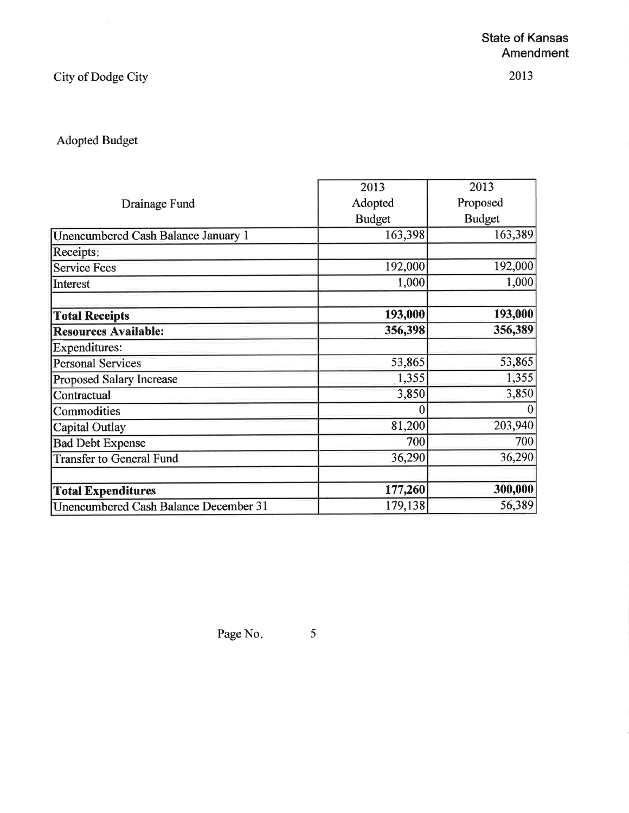# City of Dodge City

2013

# Adopted Budget

|                                       | 2013          | 2013          |
|---------------------------------------|---------------|---------------|
| Drainage Fund                         | Adopted       | Proposed      |
|                                       | <b>Budget</b> | <b>Budget</b> |
| Unencumbered Cash Balance January 1   | 163,398       | 163,389       |
| Receipts:                             |               |               |
| <b>Service Fees</b>                   | 192,000       | 192,000       |
| Interest                              | 1,000         | 1,000         |
|                                       |               |               |
| <b>Total Receipts</b>                 | 193,000       | 193,000       |
| <b>Resources Available:</b>           | 356,398       | 356,389       |
| <b>Expenditures:</b>                  |               |               |
| <b>Personal Services</b>              | 53,865        | 53,865        |
| <b>Proposed Salary Increase</b>       | 1,355         | 1,355         |
| Contractual                           | 3,850         | 3,850         |
| Commodities                           |               | 0             |
| Capital Outlay                        | 81,200        | 203,940       |
| <b>Bad Debt Expense</b>               | 700           | 700           |
| <b>Transfer to General Fund</b>       | 36,290        | 36,290        |
|                                       |               |               |
| <b>Total Expenditures</b>             | 177,260       | 300,000       |
| Unencumbered Cash Balance December 31 | 179,138       | 56,389        |

Page No.

5